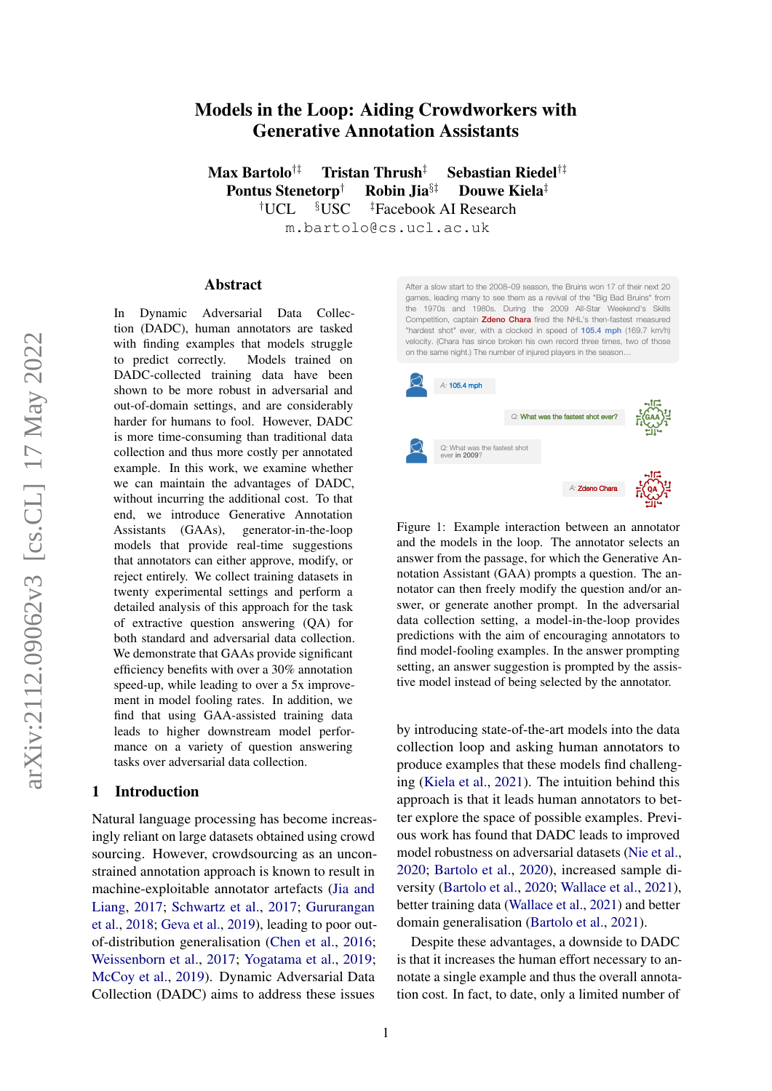# Models in the Loop: Aiding Crowdworkers with Generative Annotation Assistants

Max Bartolo†‡ Tristan Thrush‡ Sebastian Riedel†‡ Pontus Stenetorp<sup>†</sup> Robin Jia<sup>§‡</sup> Douwe Kiela<sup>‡</sup> †UCL §USC ‡Facebook AI Research m.bartolo@cs.ucl.ac.uk

#### Abstract

In Dynamic Adversarial Data Collection (DADC), human annotators are tasked with finding examples that models struggle to predict correctly. Models trained on DADC-collected training data have been shown to be more robust in adversarial and out-of-domain settings, and are considerably harder for humans to fool. However, DADC is more time-consuming than traditional data collection and thus more costly per annotated example. In this work, we examine whether we can maintain the advantages of DADC, without incurring the additional cost. To that end, we introduce Generative Annotation Assistants (GAAs), generator-in-the-loop models that provide real-time suggestions that annotators can either approve, modify, or reject entirely. We collect training datasets in twenty experimental settings and perform a detailed analysis of this approach for the task of extractive question answering (QA) for both standard and adversarial data collection. We demonstrate that GAAs provide significant efficiency benefits with over a 30% annotation speed-up, while leading to over a 5x improvement in model fooling rates. In addition, we find that using GAA-assisted training data leads to higher downstream model performance on a variety of question answering tasks over adversarial data collection.

### 1 Introduction

Natural language processing has become increasingly reliant on large datasets obtained using crowd sourcing. However, crowdsourcing as an unconstrained annotation approach is known to result in machine-exploitable annotator artefacts [\(Jia and](#page-9-0) [Liang,](#page-9-0) [2017;](#page-9-0) [Schwartz et al.,](#page-10-0) [2017;](#page-10-0) [Gururangan](#page-9-1) [et al.,](#page-9-1) [2018;](#page-9-1) [Geva et al.,](#page-9-2) [2019\)](#page-9-2), leading to poor outof-distribution generalisation [\(Chen et al.,](#page-8-0) [2016;](#page-8-0) [Weissenborn et al.,](#page-10-1) [2017;](#page-10-1) [Yogatama et al.,](#page-10-2) [2019;](#page-10-2) [McCoy et al.,](#page-9-3) [2019\)](#page-9-3). Dynamic Adversarial Data Collection (DADC) aims to address these issues

<span id="page-0-0"></span>After a slow start to the 2008–09 season, the Bruins won 17 of their next 20 games, leading many to see them as a revival of the "Big Bad Bruins" from the 1970s and 1980s. During the 2009 All-Star Weekend's Skills Competition, captain **Zdeno Chara** fired the NHL's then-fastest mea "hardest shot" ever, with a clocked in speed of 105.4 mph (169.7 km/h) velocity. (Chara has since broken his own record three times, two of those on the same night.) The number of injured players in the season…



Figure 1: Example interaction between an annotator and the models in the loop. The annotator selects an answer from the passage, for which the Generative Annotation Assistant (GAA) prompts a question. The annotator can then freely modify the question and/or answer, or generate another prompt. In the adversarial data collection setting, a model-in-the-loop provides predictions with the aim of encouraging annotators to find model-fooling examples. In the answer prompting setting, an answer suggestion is prompted by the assistive model instead of being selected by the annotator.

by introducing state-of-the-art models into the data collection loop and asking human annotators to produce examples that these models find challenging [\(Kiela et al.,](#page-9-4) [2021\)](#page-9-4). The intuition behind this approach is that it leads human annotators to better explore the space of possible examples. Previous work has found that DADC leads to improved model robustness on adversarial datasets [\(Nie et al.,](#page-9-5) [2020;](#page-9-5) [Bartolo et al.,](#page-8-1) [2020\)](#page-8-1), increased sample diversity [\(Bartolo et al.,](#page-8-1) [2020;](#page-8-1) [Wallace et al.,](#page-10-3) [2021\)](#page-10-3), better training data [\(Wallace et al.,](#page-10-3) [2021\)](#page-10-3) and better domain generalisation [\(Bartolo et al.,](#page-8-2) [2021\)](#page-8-2).

Despite these advantages, a downside to DADC is that it increases the human effort necessary to annotate a single example and thus the overall annotation cost. In fact, to date, only a limited number of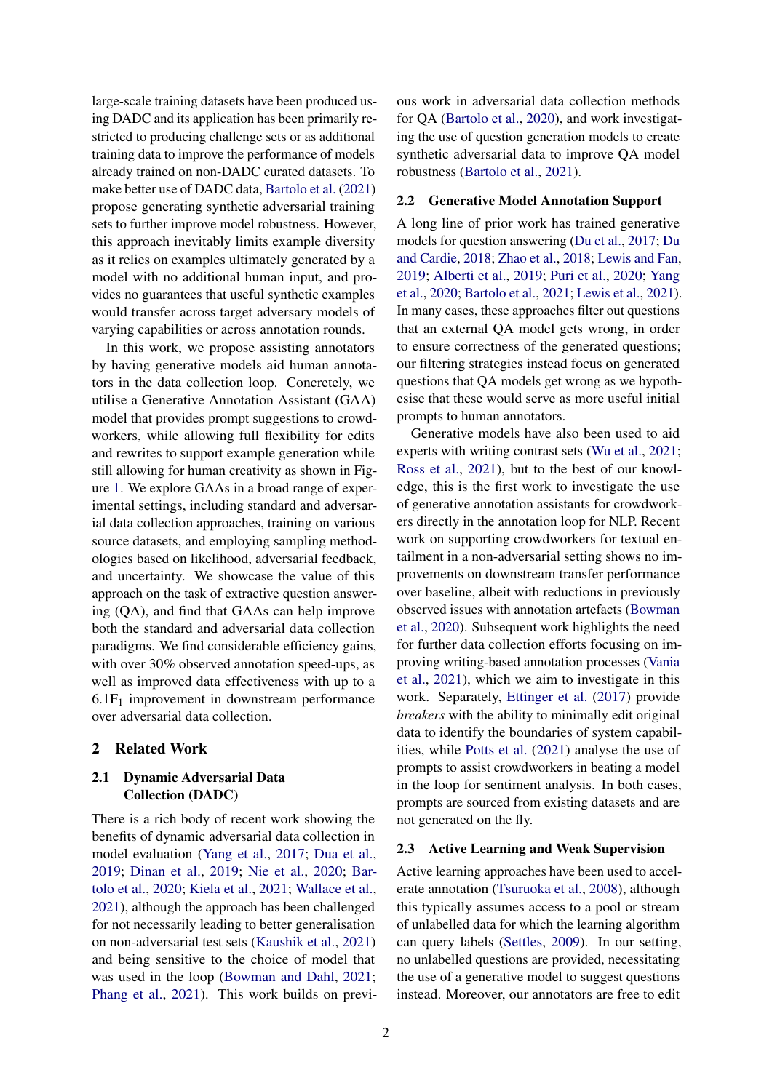large-scale training datasets have been produced using DADC and its application has been primarily restricted to producing challenge sets or as additional training data to improve the performance of models already trained on non-DADC curated datasets. To make better use of DADC data, [Bartolo et al.](#page-8-2) [\(2021\)](#page-8-2) propose generating synthetic adversarial training sets to further improve model robustness. However, this approach inevitably limits example diversity as it relies on examples ultimately generated by a model with no additional human input, and provides no guarantees that useful synthetic examples would transfer across target adversary models of varying capabilities or across annotation rounds.

In this work, we propose assisting annotators by having generative models aid human annotators in the data collection loop. Concretely, we utilise a Generative Annotation Assistant (GAA) model that provides prompt suggestions to crowdworkers, while allowing full flexibility for edits and rewrites to support example generation while still allowing for human creativity as shown in Figure [1.](#page-0-0) We explore GAAs in a broad range of experimental settings, including standard and adversarial data collection approaches, training on various source datasets, and employing sampling methodologies based on likelihood, adversarial feedback, and uncertainty. We showcase the value of this approach on the task of extractive question answering (QA), and find that GAAs can help improve both the standard and adversarial data collection paradigms. We find considerable efficiency gains, with over 30% observed annotation speed-ups, as well as improved data effectiveness with up to a  $6.1F_1$  improvement in downstream performance over adversarial data collection.

### 2 Related Work

### 2.1 Dynamic Adversarial Data Collection (DADC)

There is a rich body of recent work showing the benefits of dynamic adversarial data collection in model evaluation [\(Yang et al.,](#page-10-4) [2017;](#page-10-4) [Dua et al.,](#page-9-6) [2019;](#page-9-6) [Dinan et al.,](#page-8-3) [2019;](#page-8-3) [Nie et al.,](#page-9-5) [2020;](#page-9-5) [Bar](#page-8-1)[tolo et al.,](#page-8-1) [2020;](#page-8-1) [Kiela et al.,](#page-9-4) [2021;](#page-9-4) [Wallace et al.,](#page-10-3) [2021\)](#page-10-3), although the approach has been challenged for not necessarily leading to better generalisation on non-adversarial test sets [\(Kaushik et al.,](#page-9-7) [2021\)](#page-9-7) and being sensitive to the choice of model that was used in the loop [\(Bowman and Dahl,](#page-8-4) [2021;](#page-8-4) [Phang et al.,](#page-10-5) [2021\)](#page-10-5). This work builds on previous work in adversarial data collection methods for QA [\(Bartolo et al.,](#page-8-1) [2020\)](#page-8-1), and work investigating the use of question generation models to create synthetic adversarial data to improve QA model robustness [\(Bartolo et al.,](#page-8-2) [2021\)](#page-8-2).

#### 2.2 Generative Model Annotation Support

A long line of prior work has trained generative models for question answering [\(Du et al.,](#page-9-8) [2017;](#page-9-8) [Du](#page-8-5) [and Cardie,](#page-8-5) [2018;](#page-8-5) [Zhao et al.,](#page-10-6) [2018;](#page-10-6) [Lewis and Fan,](#page-9-9) [2019;](#page-9-9) [Alberti et al.,](#page-8-6) [2019;](#page-8-6) [Puri et al.,](#page-10-7) [2020;](#page-10-7) [Yang](#page-10-8) [et al.,](#page-10-8) [2020;](#page-10-8) [Bartolo et al.,](#page-8-2) [2021;](#page-8-2) [Lewis et al.,](#page-9-10) [2021\)](#page-9-10). In many cases, these approaches filter out questions that an external QA model gets wrong, in order to ensure correctness of the generated questions; our filtering strategies instead focus on generated questions that QA models get wrong as we hypothesise that these would serve as more useful initial prompts to human annotators.

Generative models have also been used to aid experts with writing contrast sets [\(Wu et al.,](#page-10-9) [2021;](#page-10-9) [Ross et al.,](#page-10-10) [2021\)](#page-10-10), but to the best of our knowledge, this is the first work to investigate the use of generative annotation assistants for crowdworkers directly in the annotation loop for NLP. Recent work on supporting crowdworkers for textual entailment in a non-adversarial setting shows no improvements on downstream transfer performance over baseline, albeit with reductions in previously observed issues with annotation artefacts [\(Bowman](#page-8-7) [et al.,](#page-8-7) [2020\)](#page-8-7). Subsequent work highlights the need for further data collection efforts focusing on improving writing-based annotation processes [\(Vania](#page-10-11) [et al.,](#page-10-11) [2021\)](#page-10-11), which we aim to investigate in this work. Separately, [Ettinger et al.](#page-9-11) [\(2017\)](#page-9-11) provide *breakers* with the ability to minimally edit original data to identify the boundaries of system capabilities, while [Potts et al.](#page-10-12) [\(2021\)](#page-10-12) analyse the use of prompts to assist crowdworkers in beating a model in the loop for sentiment analysis. In both cases, prompts are sourced from existing datasets and are not generated on the fly.

#### 2.3 Active Learning and Weak Supervision

Active learning approaches have been used to accelerate annotation [\(Tsuruoka et al.,](#page-10-13) [2008\)](#page-10-13), although this typically assumes access to a pool or stream of unlabelled data for which the learning algorithm can query labels [\(Settles,](#page-10-14) [2009\)](#page-10-14). In our setting, no unlabelled questions are provided, necessitating the use of a generative model to suggest questions instead. Moreover, our annotators are free to edit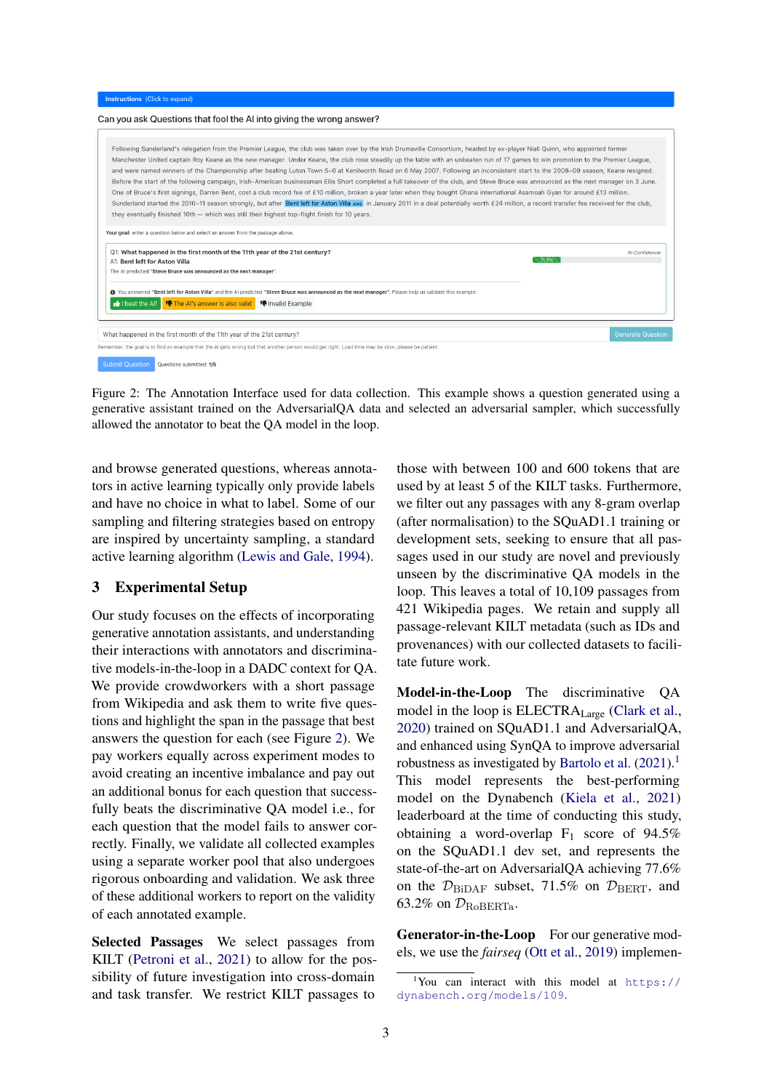<span id="page-2-0"></span>

Figure 2: The Annotation Interface used for data collection. This example shows a question generated using a generative assistant trained on the AdversarialQA data and selected an adversarial sampler, which successfully allowed the annotator to beat the QA model in the loop.

and browse generated questions, whereas annotators in active learning typically only provide labels and have no choice in what to label. Some of our sampling and filtering strategies based on entropy are inspired by uncertainty sampling, a standard active learning algorithm [\(Lewis and Gale,](#page-9-12) [1994\)](#page-9-12).

### 3 Experimental Setup

Our study focuses on the effects of incorporating generative annotation assistants, and understanding their interactions with annotators and discriminative models-in-the-loop in a DADC context for QA. We provide crowdworkers with a short passage from Wikipedia and ask them to write five questions and highlight the span in the passage that best answers the question for each (see Figure [2\)](#page-2-0). We pay workers equally across experiment modes to avoid creating an incentive imbalance and pay out an additional bonus for each question that successfully beats the discriminative QA model i.e., for each question that the model fails to answer correctly. Finally, we validate all collected examples using a separate worker pool that also undergoes rigorous onboarding and validation. We ask three of these additional workers to report on the validity of each annotated example.

Selected Passages We select passages from KILT [\(Petroni et al.,](#page-10-15) [2021\)](#page-10-15) to allow for the possibility of future investigation into cross-domain and task transfer. We restrict KILT passages to

those with between 100 and 600 tokens that are used by at least 5 of the KILT tasks. Furthermore, we filter out any passages with any 8-gram overlap (after normalisation) to the SQuAD1.1 training or development sets, seeking to ensure that all passages used in our study are novel and previously unseen by the discriminative QA models in the loop. This leaves a total of 10,109 passages from 421 Wikipedia pages. We retain and supply all passage-relevant KILT metadata (such as IDs and provenances) with our collected datasets to facilitate future work.

Model-in-the-Loop The discriminative QA model in the loop is ELECTRALarge [\(Clark et al.,](#page-8-8) [2020\)](#page-8-8) trained on SQuAD1.1 and AdversarialQA, and enhanced using SynQA to improve adversarial robustness as investigated by [Bartolo et al.](#page-8-2)  $(2021).$  $(2021).$ <sup>[1](#page-2-1)</sup> This model represents the best-performing model on the Dynabench [\(Kiela et al.,](#page-9-4) [2021\)](#page-9-4) leaderboard at the time of conducting this study, obtaining a word-overlap  $F_1$  score of 94.5% on the SQuAD1.1 dev set, and represents the state-of-the-art on AdversarialQA achieving 77.6% on the  $\mathcal{D}_{\text{BiDAF}}$  subset, 71.5% on  $\mathcal{D}_{\text{BERT}}$ , and 63.2% on  $\mathcal{D}_{\text{RoBERTa}}$ .

Generator-in-the-Loop For our generative models, we use the *fairseq* [\(Ott et al.,](#page-9-13) [2019\)](#page-9-13) implemen-

<span id="page-2-1"></span><sup>&</sup>lt;sup>1</sup>You can interact with this model at  $https://$ [dynabench.org/models/109](https://dynabench.org/models/109).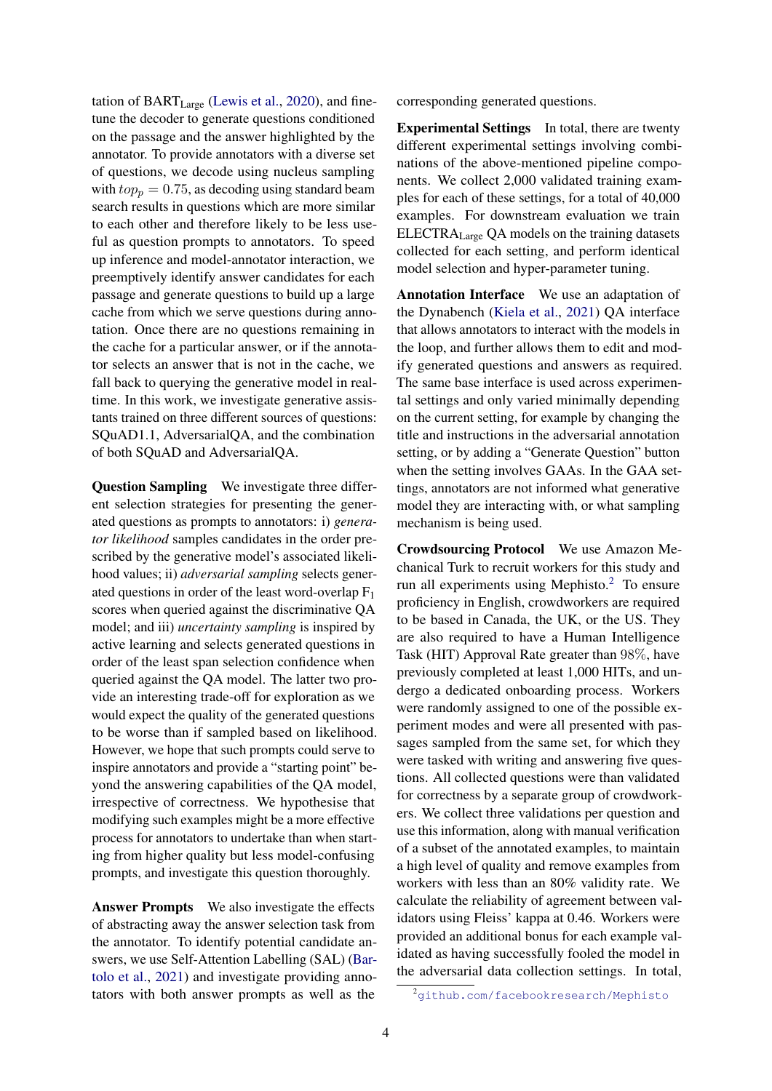tation of  $BART_{Large}$  [\(Lewis et al.,](#page-9-14) [2020\)](#page-9-14), and finetune the decoder to generate questions conditioned on the passage and the answer highlighted by the annotator. To provide annotators with a diverse set of questions, we decode using nucleus sampling with  $top_p = 0.75$ , as decoding using standard beam search results in questions which are more similar to each other and therefore likely to be less useful as question prompts to annotators. To speed up inference and model-annotator interaction, we preemptively identify answer candidates for each passage and generate questions to build up a large cache from which we serve questions during annotation. Once there are no questions remaining in the cache for a particular answer, or if the annotator selects an answer that is not in the cache, we fall back to querying the generative model in realtime. In this work, we investigate generative assistants trained on three different sources of questions: SQuAD1.1, AdversarialQA, and the combination of both SQuAD and AdversarialQA.

Question Sampling We investigate three different selection strategies for presenting the generated questions as prompts to annotators: i) *generator likelihood* samples candidates in the order prescribed by the generative model's associated likelihood values; ii) *adversarial sampling* selects generated questions in order of the least word-overlap  $F_1$ scores when queried against the discriminative QA model; and iii) *uncertainty sampling* is inspired by active learning and selects generated questions in order of the least span selection confidence when queried against the QA model. The latter two provide an interesting trade-off for exploration as we would expect the quality of the generated questions to be worse than if sampled based on likelihood. However, we hope that such prompts could serve to inspire annotators and provide a "starting point" beyond the answering capabilities of the QA model, irrespective of correctness. We hypothesise that modifying such examples might be a more effective process for annotators to undertake than when starting from higher quality but less model-confusing prompts, and investigate this question thoroughly.

Answer Prompts We also investigate the effects of abstracting away the answer selection task from the annotator. To identify potential candidate answers, we use Self-Attention Labelling (SAL) [\(Bar](#page-8-2)[tolo et al.,](#page-8-2) [2021\)](#page-8-2) and investigate providing annotators with both answer prompts as well as the

corresponding generated questions.

Experimental Settings In total, there are twenty different experimental settings involving combinations of the above-mentioned pipeline components. We collect 2,000 validated training examples for each of these settings, for a total of 40,000 examples. For downstream evaluation we train ELECTRALarge QA models on the training datasets collected for each setting, and perform identical model selection and hyper-parameter tuning.

Annotation Interface We use an adaptation of the Dynabench [\(Kiela et al.,](#page-9-4) [2021\)](#page-9-4) QA interface that allows annotators to interact with the models in the loop, and further allows them to edit and modify generated questions and answers as required. The same base interface is used across experimental settings and only varied minimally depending on the current setting, for example by changing the title and instructions in the adversarial annotation setting, or by adding a "Generate Question" button when the setting involves GAAs. In the GAA settings, annotators are not informed what generative model they are interacting with, or what sampling mechanism is being used.

Crowdsourcing Protocol We use Amazon Mechanical Turk to recruit workers for this study and run all experiments using Mephisto.[2](#page-3-0) To ensure proficiency in English, crowdworkers are required to be based in Canada, the UK, or the US. They are also required to have a Human Intelligence Task (HIT) Approval Rate greater than 98%, have previously completed at least 1,000 HITs, and undergo a dedicated onboarding process. Workers were randomly assigned to one of the possible experiment modes and were all presented with passages sampled from the same set, for which they were tasked with writing and answering five questions. All collected questions were than validated for correctness by a separate group of crowdworkers. We collect three validations per question and use this information, along with manual verification of a subset of the annotated examples, to maintain a high level of quality and remove examples from workers with less than an 80% validity rate. We calculate the reliability of agreement between validators using Fleiss' kappa at 0.46. Workers were provided an additional bonus for each example validated as having successfully fooled the model in the adversarial data collection settings. In total,

<span id="page-3-0"></span><sup>2</sup><github.com/facebookresearch/Mephisto>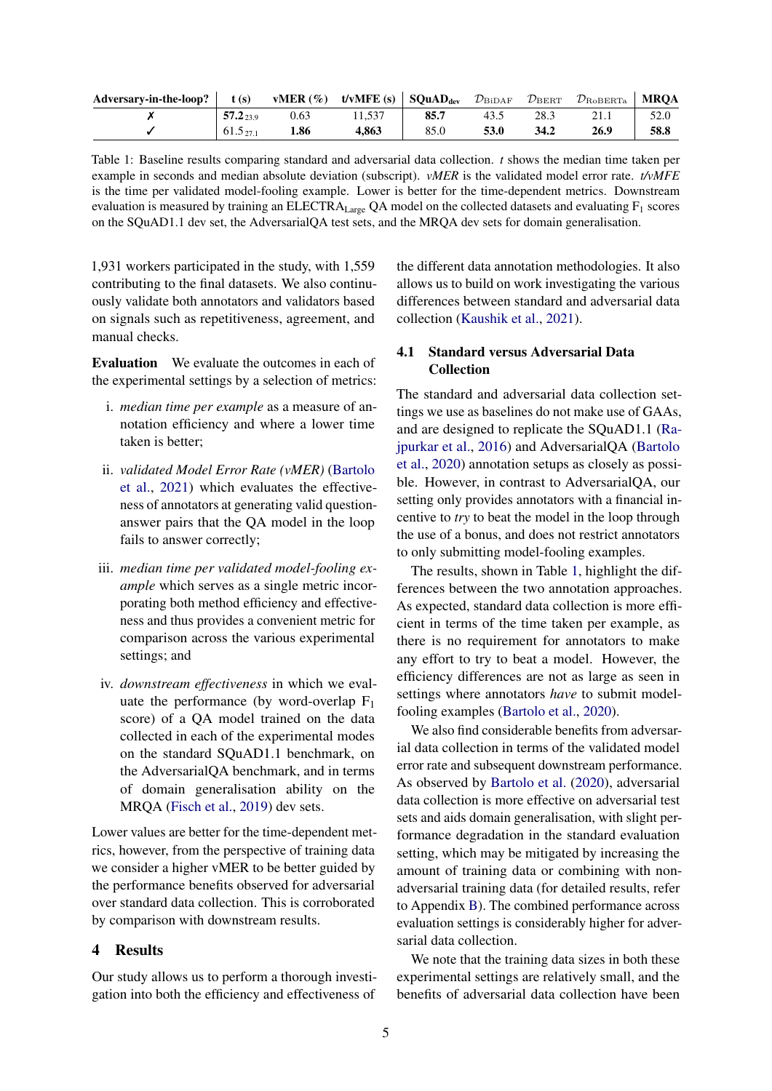<span id="page-4-0"></span>

| Adversary-in-the-loop? | t(s)          | vMER $(\%)$ t/vMFE (s) SQuAD <sub>dev</sub> |        |      | $\mathcal{D}_{\rm BiDAF}$ | $\mathcal{D}_{\rm BERT}$ | $\mathcal{D}_{\rm RoBERTa}$ | <b>MROA</b> |
|------------------------|---------------|---------------------------------------------|--------|------|---------------------------|--------------------------|-----------------------------|-------------|
|                        | $57.2_{23.9}$ | 0.63                                        | 11.537 | 85.7 | 43.5                      | 28.3                     |                             |             |
|                        | $61.5_{27.1}$ | 1.86                                        | 4.863  | 85.0 | 53.0                      | 34.2                     | 26.9                        | 58.8        |

Table 1: Baseline results comparing standard and adversarial data collection. *t* shows the median time taken per example in seconds and median absolute deviation (subscript). *vMER* is the validated model error rate. *t/vMFE* is the time per validated model-fooling example. Lower is better for the time-dependent metrics. Downstream evaluation is measured by training an ELECTRA<sub>Large</sub> QA model on the collected datasets and evaluating F<sub>1</sub> scores on the SQuAD1.1 dev set, the AdversarialQA test sets, and the MRQA dev sets for domain generalisation.

1,931 workers participated in the study, with 1,559 contributing to the final datasets. We also continuously validate both annotators and validators based on signals such as repetitiveness, agreement, and manual checks.

Evaluation We evaluate the outcomes in each of the experimental settings by a selection of metrics:

- i. *median time per example* as a measure of annotation efficiency and where a lower time taken is better;
- ii. *validated Model Error Rate (vMER)* [\(Bartolo](#page-8-2) [et al.,](#page-8-2) [2021\)](#page-8-2) which evaluates the effectiveness of annotators at generating valid questionanswer pairs that the QA model in the loop fails to answer correctly;
- iii. *median time per validated model-fooling example* which serves as a single metric incorporating both method efficiency and effectiveness and thus provides a convenient metric for comparison across the various experimental settings; and
- iv. *downstream effectiveness* in which we evaluate the performance (by word-overlap  $F_1$ score) of a QA model trained on the data collected in each of the experimental modes on the standard SQuAD1.1 benchmark, on the AdversarialQA benchmark, and in terms of domain generalisation ability on the MRQA [\(Fisch et al.,](#page-9-15) [2019\)](#page-9-15) dev sets.

Lower values are better for the time-dependent metrics, however, from the perspective of training data we consider a higher vMER to be better guided by the performance benefits observed for adversarial over standard data collection. This is corroborated by comparison with downstream results.

### 4 Results

Our study allows us to perform a thorough investigation into both the efficiency and effectiveness of the different data annotation methodologies. It also allows us to build on work investigating the various differences between standard and adversarial data collection [\(Kaushik et al.,](#page-9-7) [2021\)](#page-9-7).

# 4.1 Standard versus Adversarial Data Collection

The standard and adversarial data collection settings we use as baselines do not make use of GAAs, and are designed to replicate the SQuAD1.1 [\(Ra](#page-10-16)[jpurkar et al.,](#page-10-16) [2016\)](#page-10-16) and AdversarialQA [\(Bartolo](#page-8-1) [et al.,](#page-8-1) [2020\)](#page-8-1) annotation setups as closely as possible. However, in contrast to AdversarialQA, our setting only provides annotators with a financial incentive to *try* to beat the model in the loop through the use of a bonus, and does not restrict annotators to only submitting model-fooling examples.

The results, shown in Table [1,](#page-4-0) highlight the differences between the two annotation approaches. As expected, standard data collection is more efficient in terms of the time taken per example, as there is no requirement for annotators to make any effort to try to beat a model. However, the efficiency differences are not as large as seen in settings where annotators *have* to submit modelfooling examples [\(Bartolo et al.,](#page-8-1) [2020\)](#page-8-1).

We also find considerable benefits from adversarial data collection in terms of the validated model error rate and subsequent downstream performance. As observed by [Bartolo et al.](#page-8-1) [\(2020\)](#page-8-1), adversarial data collection is more effective on adversarial test sets and aids domain generalisation, with slight performance degradation in the standard evaluation setting, which may be mitigated by increasing the amount of training data or combining with nonadversarial training data (for detailed results, refer to Appendix [B\)](#page-11-0). The combined performance across evaluation settings is considerably higher for adversarial data collection.

We note that the training data sizes in both these experimental settings are relatively small, and the benefits of adversarial data collection have been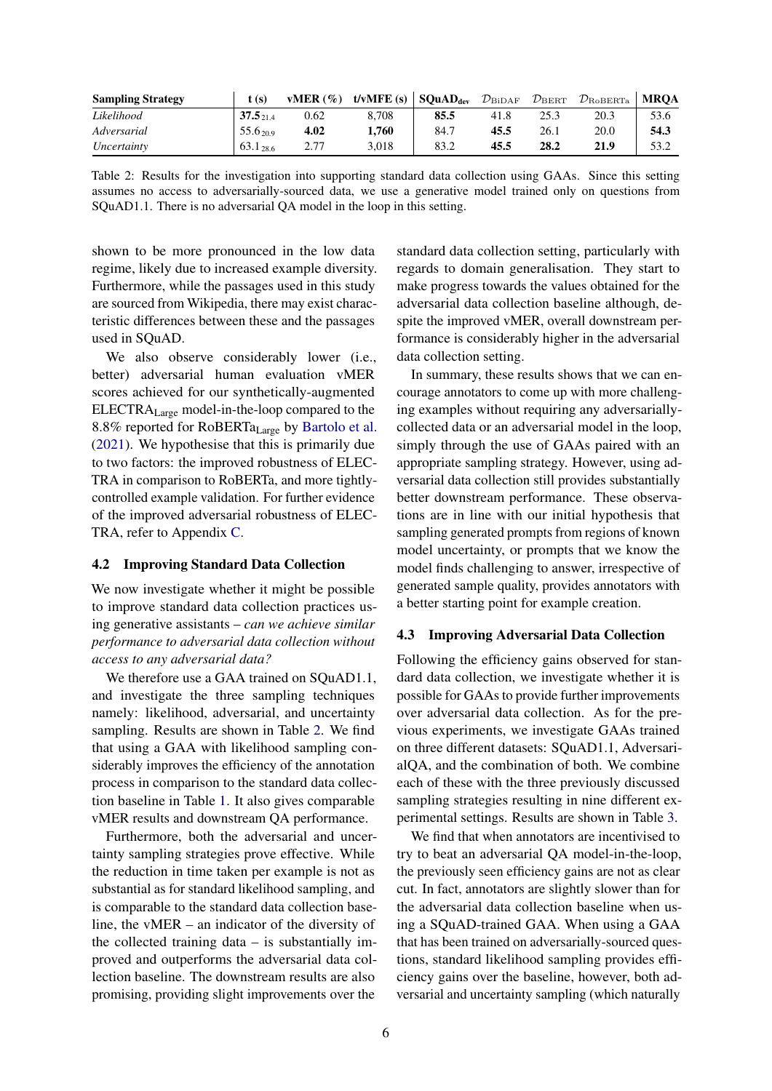<span id="page-5-0"></span>

| <b>Sampling Strategy</b> | t (s)         | $vMER(\%)$ | t/vMFE(s) | $\parallel$ SQuAD <sub>dev</sub> | $\mathcal{D}_{\rm BiDAF}$ | $\mathcal{D}_{\rm BERT}$ | $\mathcal{D}_{\rm RoBERTa}$ | <b>MROA</b> |
|--------------------------|---------------|------------|-----------|----------------------------------|---------------------------|--------------------------|-----------------------------|-------------|
| Likelihood               | $37.5_{21.4}$ | 0.62       | 8.708     | 85.5                             | 41.8                      | 25.3                     | 20.3                        | 53.6        |
| Adversarial              | $55.6_{20.9}$ | 4.02       | 1.760     | 84.7                             | 45.5                      | 26.1                     | 20.0                        | 54.3        |
| Uncertainty              | $63.1_{28.6}$ |            | 3.018     | 83.2                             | 45.5                      | 28.2                     | 21.9                        | 53.2        |

Table 2: Results for the investigation into supporting standard data collection using GAAs. Since this setting assumes no access to adversarially-sourced data, we use a generative model trained only on questions from SQuAD1.1. There is no adversarial QA model in the loop in this setting.

shown to be more pronounced in the low data regime, likely due to increased example diversity. Furthermore, while the passages used in this study are sourced from Wikipedia, there may exist characteristic differences between these and the passages used in SQuAD.

We also observe considerably lower (i.e., better) adversarial human evaluation vMER scores achieved for our synthetically-augmented ELECTRALarge model-in-the-loop compared to the 8.8% reported for RoBERTa<sub>Large</sub> by [Bartolo et al.](#page-8-2) [\(2021\)](#page-8-2). We hypothesise that this is primarily due to two factors: the improved robustness of ELEC-TRA in comparison to RoBERTa, and more tightlycontrolled example validation. For further evidence of the improved adversarial robustness of ELEC-TRA, refer to Appendix [C.](#page-11-1)

### 4.2 Improving Standard Data Collection

We now investigate whether it might be possible to improve standard data collection practices using generative assistants – *can we achieve similar performance to adversarial data collection without access to any adversarial data?*

We therefore use a GAA trained on SQuAD1.1, and investigate the three sampling techniques namely: likelihood, adversarial, and uncertainty sampling. Results are shown in Table [2.](#page-5-0) We find that using a GAA with likelihood sampling considerably improves the efficiency of the annotation process in comparison to the standard data collection baseline in Table [1.](#page-4-0) It also gives comparable vMER results and downstream QA performance.

Furthermore, both the adversarial and uncertainty sampling strategies prove effective. While the reduction in time taken per example is not as substantial as for standard likelihood sampling, and is comparable to the standard data collection baseline, the vMER – an indicator of the diversity of the collected training data – is substantially improved and outperforms the adversarial data collection baseline. The downstream results are also promising, providing slight improvements over the

standard data collection setting, particularly with regards to domain generalisation. They start to make progress towards the values obtained for the adversarial data collection baseline although, despite the improved vMER, overall downstream performance is considerably higher in the adversarial data collection setting.

In summary, these results shows that we can encourage annotators to come up with more challenging examples without requiring any adversariallycollected data or an adversarial model in the loop, simply through the use of GAAs paired with an appropriate sampling strategy. However, using adversarial data collection still provides substantially better downstream performance. These observations are in line with our initial hypothesis that sampling generated prompts from regions of known model uncertainty, or prompts that we know the model finds challenging to answer, irrespective of generated sample quality, provides annotators with a better starting point for example creation.

#### 4.3 Improving Adversarial Data Collection

Following the efficiency gains observed for standard data collection, we investigate whether it is possible for GAAs to provide further improvements over adversarial data collection. As for the previous experiments, we investigate GAAs trained on three different datasets: SQuAD1.1, AdversarialQA, and the combination of both. We combine each of these with the three previously discussed sampling strategies resulting in nine different experimental settings. Results are shown in Table [3.](#page-6-0)

We find that when annotators are incentivised to try to beat an adversarial QA model-in-the-loop, the previously seen efficiency gains are not as clear cut. In fact, annotators are slightly slower than for the adversarial data collection baseline when using a SQuAD-trained GAA. When using a GAA that has been trained on adversarially-sourced questions, standard likelihood sampling provides efficiency gains over the baseline, however, both adversarial and uncertainty sampling (which naturally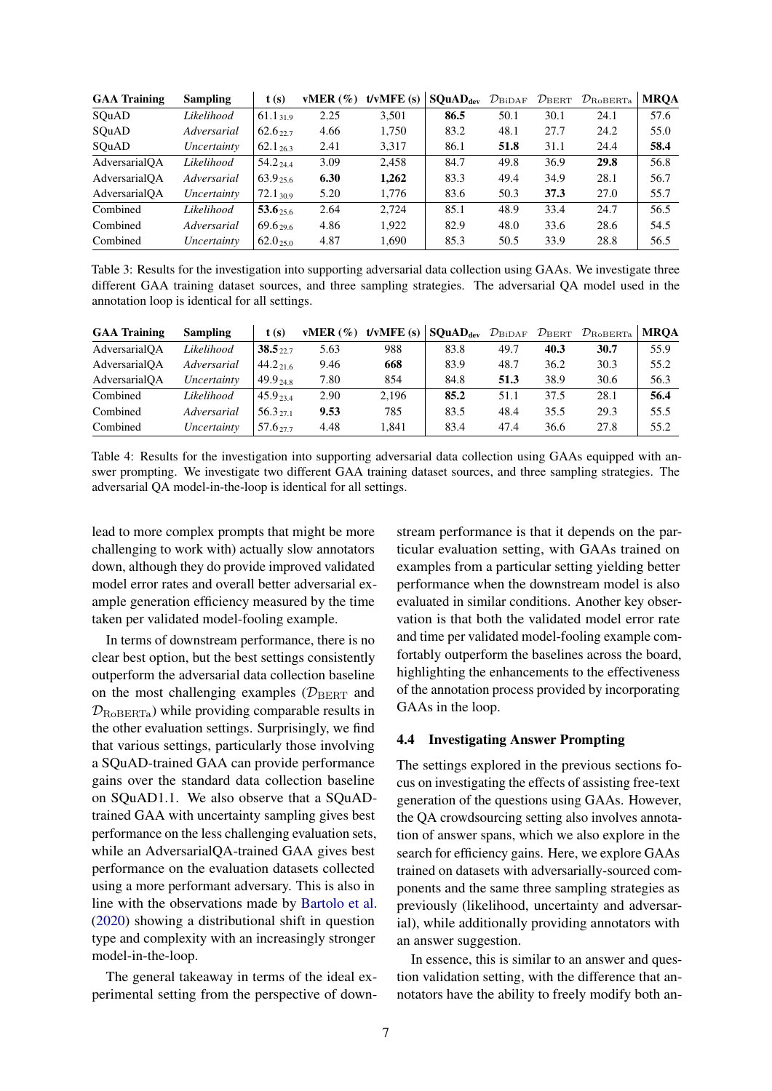<span id="page-6-0"></span>

| <b>GAA Training</b> | <b>Sampling</b> | t(s)                 | vMER(%) | t/vMFE(s) | SQuAD <sub>dev</sub> | $\mathcal{D}_{\rm BiDAF}$ | $\mathcal{D}_{\rm BERT}$ | $\mathcal{D}_{\rm RoBERTa}$ | <b>MROA</b> |
|---------------------|-----------------|----------------------|---------|-----------|----------------------|---------------------------|--------------------------|-----------------------------|-------------|
| SOuAD               | Likelihood      | $61.1_{31.9}$        | 2.25    | 3,501     | 86.5                 | 50.1                      | 30.1                     | 24.1                        | 57.6        |
| SOuAD               | Adversarial     | 62.6 <sub>22.7</sub> | 4.66    | 1,750     | 83.2                 | 48.1                      | 27.7                     | 24.2                        | 55.0        |
| SOuAD               | Uncertainty     | $62.1_{26.3}$        | 2.41    | 3,317     | 86.1                 | 51.8                      | 31.1                     | 24.4                        | 58.4        |
| AdversarialOA       | Likelihood      | 54.2 24.4            | 3.09    | 2.458     | 84.7                 | 49.8                      | 36.9                     | 29.8                        | 56.8        |
| AdversarialOA       | Adversarial     | 63.9 <sub>25.6</sub> | 6.30    | 1.262     | 83.3                 | 49.4                      | 34.9                     | 28.1                        | 56.7        |
| AdversarialOA       | Uncertainty     | $72.1_{\,30.9}$      | 5.20    | 1,776     | 83.6                 | 50.3                      | 37.3                     | 27.0                        | 55.7        |
| Combined            | Likelihood      | $53.6_{25.6}$        | 2.64    | 2.724     | 85.1                 | 48.9                      | 33.4                     | 24.7                        | 56.5        |
| Combined            | Adversarial     | 69.6 <sub>29.6</sub> | 4.86    | 1.922     | 82.9                 | 48.0                      | 33.6                     | 28.6                        | 54.5        |
| Combined            | Uncertainty     | $62.0_{25.0}$        | 4.87    | 1.690     | 85.3                 | 50.5                      | 33.9                     | 28.8                        | 56.5        |

Table 3: Results for the investigation into supporting adversarial data collection using GAAs. We investigate three different GAA training dataset sources, and three sampling strategies. The adversarial QA model used in the annotation loop is identical for all settings.

<span id="page-6-1"></span>

| <b>GAA Training</b> | <b>Sampling</b> | t(s)                  | vMER $(\%)$ | $t/vMFE$ (s) | <b>SQuAD</b> <sub>dev</sub> $\mathcal{D}_{\text{BiDAF}}$ $\mathcal{D}_{\text{BERT}}$ |      |      | $\mathcal{D}_{\rm RoBERTa}$ | <b>MROA</b> |
|---------------------|-----------------|-----------------------|-------------|--------------|--------------------------------------------------------------------------------------|------|------|-----------------------------|-------------|
| AdversarialOA       | Likelihood      | 38.5.22               | 5.63        | 988          | 83.8                                                                                 | 49.7 | 40.3 | 30.7                        | 55.9        |
| AdversarialOA       | Adversarial     | $44.2_{216}$          | 9.46        | 668          | 83.9                                                                                 | 48.7 | 36.2 | 30.3                        | 55.2        |
| AdversarialOA       | Uncertainty     | $49.9_{248}$          | 7.80        | 854          | 84.8                                                                                 | 51.3 | 38.9 | 30.6                        | 56.3        |
| Combined            | Likelihood      | $45.9_{234}$          | 2.90        | 2.196        | 85.2                                                                                 | 51.1 | 37.5 | 28.1                        | 56.4        |
| Combined            | Adversarial     | $56.3_{271}$          | 9.53        | 785          | 83.5                                                                                 | 48.4 | 35.5 | 29.3                        | 55.5        |
| Combined            | Uncertainty     | $57.6$ <sub>277</sub> | 4.48        | 1.841        | 83.4                                                                                 | 47.4 | 36.6 | 27.8                        | 55.2        |

Table 4: Results for the investigation into supporting adversarial data collection using GAAs equipped with answer prompting. We investigate two different GAA training dataset sources, and three sampling strategies. The adversarial QA model-in-the-loop is identical for all settings.

lead to more complex prompts that might be more challenging to work with) actually slow annotators down, although they do provide improved validated model error rates and overall better adversarial example generation efficiency measured by the time taken per validated model-fooling example.

In terms of downstream performance, there is no clear best option, but the best settings consistently outperform the adversarial data collection baseline on the most challenging examples ( $\mathcal{D}_{\text{BERT}}$  and  $\mathcal{D}_{\text{RoBERTa}}$ ) while providing comparable results in the other evaluation settings. Surprisingly, we find that various settings, particularly those involving a SQuAD-trained GAA can provide performance gains over the standard data collection baseline on SQuAD1.1. We also observe that a SQuADtrained GAA with uncertainty sampling gives best performance on the less challenging evaluation sets, while an AdversarialQA-trained GAA gives best performance on the evaluation datasets collected using a more performant adversary. This is also in line with the observations made by [Bartolo et al.](#page-8-1) [\(2020\)](#page-8-1) showing a distributional shift in question type and complexity with an increasingly stronger model-in-the-loop.

The general takeaway in terms of the ideal experimental setting from the perspective of downstream performance is that it depends on the particular evaluation setting, with GAAs trained on examples from a particular setting yielding better performance when the downstream model is also evaluated in similar conditions. Another key observation is that both the validated model error rate and time per validated model-fooling example comfortably outperform the baselines across the board, highlighting the enhancements to the effectiveness of the annotation process provided by incorporating GAAs in the loop.

#### 4.4 Investigating Answer Prompting

The settings explored in the previous sections focus on investigating the effects of assisting free-text generation of the questions using GAAs. However, the QA crowdsourcing setting also involves annotation of answer spans, which we also explore in the search for efficiency gains. Here, we explore GAAs trained on datasets with adversarially-sourced components and the same three sampling strategies as previously (likelihood, uncertainty and adversarial), while additionally providing annotators with an answer suggestion.

In essence, this is similar to an answer and question validation setting, with the difference that annotators have the ability to freely modify both an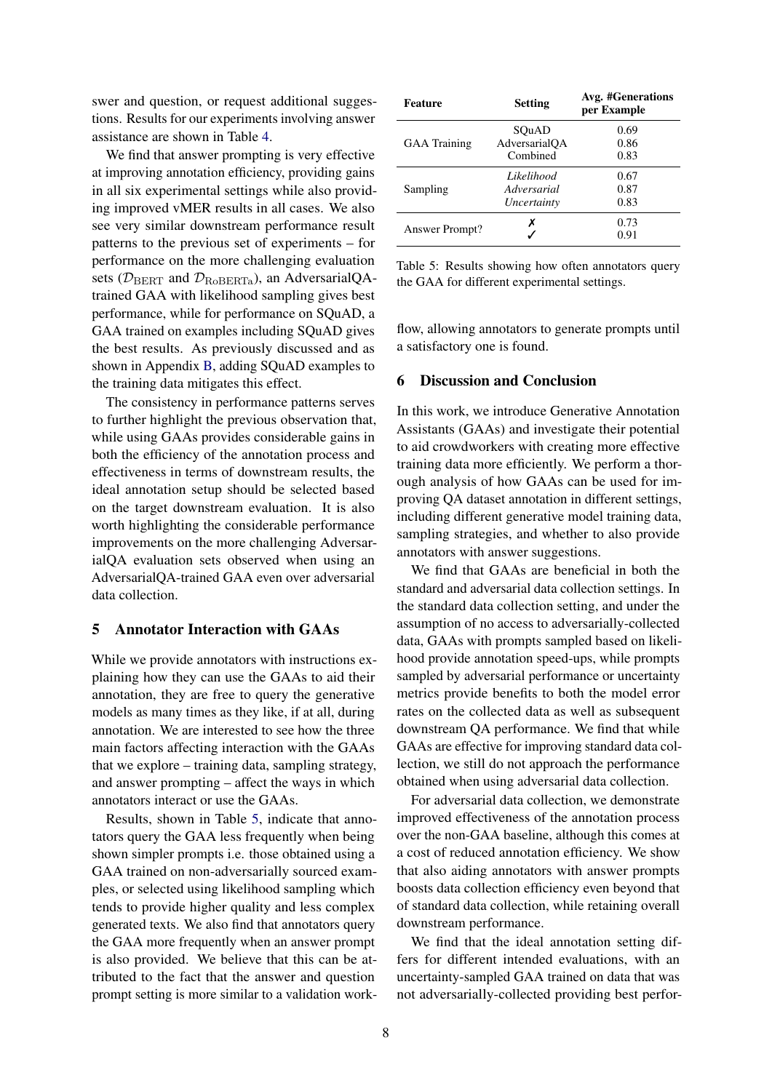swer and question, or request additional suggestions. Results for our experiments involving answer assistance are shown in Table [4.](#page-6-1)

We find that answer prompting is very effective at improving annotation efficiency, providing gains in all six experimental settings while also providing improved vMER results in all cases. We also see very similar downstream performance result patterns to the previous set of experiments – for performance on the more challenging evaluation sets ( $\mathcal{D}_{\text{BERT}}$  and  $\mathcal{D}_{\text{RoBERTa}}$ ), an AdversarialQAtrained GAA with likelihood sampling gives best performance, while for performance on SQuAD, a GAA trained on examples including SQuAD gives the best results. As previously discussed and as shown in Appendix [B,](#page-11-0) adding SQuAD examples to the training data mitigates this effect.

The consistency in performance patterns serves to further highlight the previous observation that, while using GAAs provides considerable gains in both the efficiency of the annotation process and effectiveness in terms of downstream results, the ideal annotation setup should be selected based on the target downstream evaluation. It is also worth highlighting the considerable performance improvements on the more challenging AdversarialQA evaluation sets observed when using an AdversarialQA-trained GAA even over adversarial data collection.

# 5 Annotator Interaction with GAAs

While we provide annotators with instructions explaining how they can use the GAAs to aid their annotation, they are free to query the generative models as many times as they like, if at all, during annotation. We are interested to see how the three main factors affecting interaction with the GAAs that we explore – training data, sampling strategy, and answer prompting – affect the ways in which annotators interact or use the GAAs.

Results, shown in Table [5,](#page-7-0) indicate that annotators query the GAA less frequently when being shown simpler prompts i.e. those obtained using a GAA trained on non-adversarially sourced examples, or selected using likelihood sampling which tends to provide higher quality and less complex generated texts. We also find that annotators query the GAA more frequently when an answer prompt is also provided. We believe that this can be attributed to the fact that the answer and question prompt setting is more similar to a validation work-

<span id="page-7-0"></span>

| <b>Feature</b>      | <b>Setting</b> | Avg. #Generations<br>per Example |  |  |
|---------------------|----------------|----------------------------------|--|--|
|                     | SOuAD          | 0.69                             |  |  |
| <b>GAA</b> Training | AdversarialOA  | 0.86                             |  |  |
|                     | Combined       | 0.83                             |  |  |
|                     | Likelihood     | 0.67                             |  |  |
| Sampling            | Adversarial    | 0.87                             |  |  |
|                     | Uncertainty    | 0.83                             |  |  |
|                     | х              | 0.73                             |  |  |
| Answer Prompt?      |                | 0.91                             |  |  |

Table 5: Results showing how often annotators query the GAA for different experimental settings.

flow, allowing annotators to generate prompts until a satisfactory one is found.

#### 6 Discussion and Conclusion

In this work, we introduce Generative Annotation Assistants (GAAs) and investigate their potential to aid crowdworkers with creating more effective training data more efficiently. We perform a thorough analysis of how GAAs can be used for improving QA dataset annotation in different settings, including different generative model training data, sampling strategies, and whether to also provide annotators with answer suggestions.

We find that GAAs are beneficial in both the standard and adversarial data collection settings. In the standard data collection setting, and under the assumption of no access to adversarially-collected data, GAAs with prompts sampled based on likelihood provide annotation speed-ups, while prompts sampled by adversarial performance or uncertainty metrics provide benefits to both the model error rates on the collected data as well as subsequent downstream QA performance. We find that while GAAs are effective for improving standard data collection, we still do not approach the performance obtained when using adversarial data collection.

For adversarial data collection, we demonstrate improved effectiveness of the annotation process over the non-GAA baseline, although this comes at a cost of reduced annotation efficiency. We show that also aiding annotators with answer prompts boosts data collection efficiency even beyond that of standard data collection, while retaining overall downstream performance.

We find that the ideal annotation setting differs for different intended evaluations, with an uncertainty-sampled GAA trained on data that was not adversarially-collected providing best perfor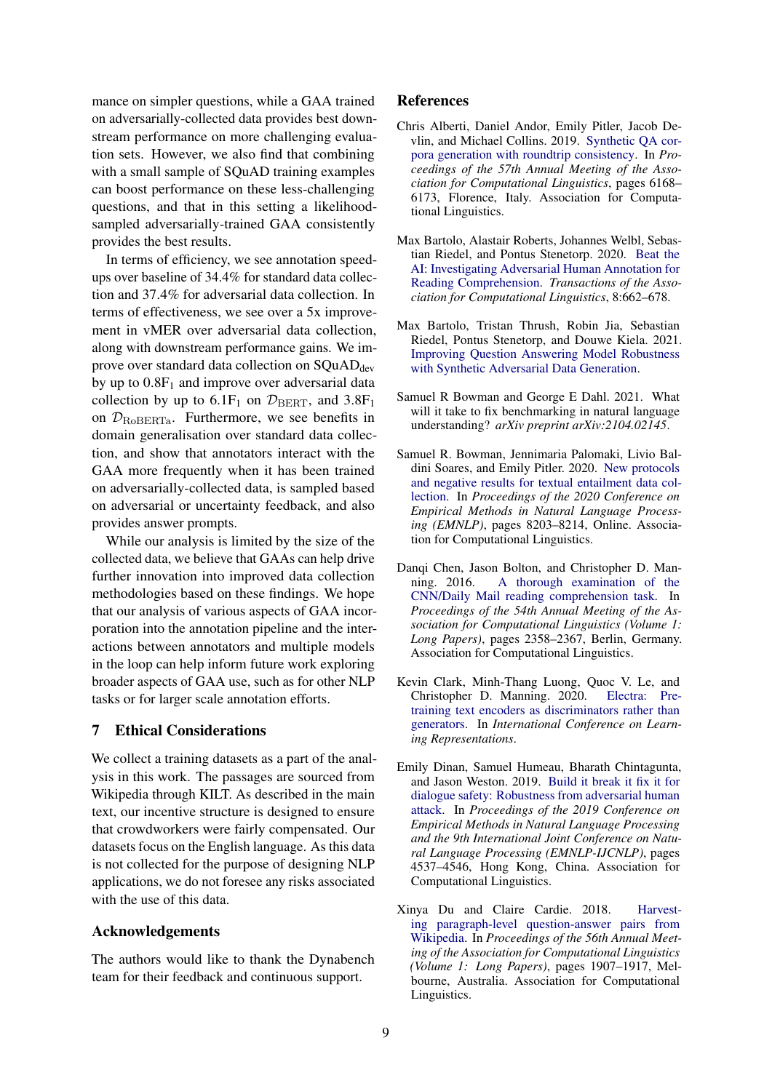mance on simpler questions, while a GAA trained on adversarially-collected data provides best downstream performance on more challenging evaluation sets. However, we also find that combining with a small sample of SQuAD training examples can boost performance on these less-challenging questions, and that in this setting a likelihoodsampled adversarially-trained GAA consistently provides the best results.

In terms of efficiency, we see annotation speedups over baseline of 34.4% for standard data collection and 37.4% for adversarial data collection. In terms of effectiveness, we see over a 5x improvement in vMER over adversarial data collection, along with downstream performance gains. We improve over standard data collection on  $SQuAD<sub>dev</sub>$ by up to  $0.8F_1$  and improve over adversarial data collection by up to  $6.1F_1$  on  $\mathcal{D}_{BERT}$ , and  $3.8F_1$ on  $\mathcal{D}_{\text{RoBERTa}}$ . Furthermore, we see benefits in domain generalisation over standard data collection, and show that annotators interact with the GAA more frequently when it has been trained on adversarially-collected data, is sampled based on adversarial or uncertainty feedback, and also provides answer prompts.

While our analysis is limited by the size of the collected data, we believe that GAAs can help drive further innovation into improved data collection methodologies based on these findings. We hope that our analysis of various aspects of GAA incorporation into the annotation pipeline and the interactions between annotators and multiple models in the loop can help inform future work exploring broader aspects of GAA use, such as for other NLP tasks or for larger scale annotation efforts.

# 7 Ethical Considerations

We collect a training datasets as a part of the analysis in this work. The passages are sourced from Wikipedia through KILT. As described in the main text, our incentive structure is designed to ensure that crowdworkers were fairly compensated. Our datasets focus on the English language. As this data is not collected for the purpose of designing NLP applications, we do not foresee any risks associated with the use of this data.

# Acknowledgements

The authors would like to thank the Dynabench team for their feedback and continuous support.

### References

- <span id="page-8-6"></span>Chris Alberti, Daniel Andor, Emily Pitler, Jacob Devlin, and Michael Collins. 2019. [Synthetic QA cor](https://doi.org/10.18653/v1/P19-1620)[pora generation with roundtrip consistency.](https://doi.org/10.18653/v1/P19-1620) In *Proceedings of the 57th Annual Meeting of the Association for Computational Linguistics*, pages 6168– 6173, Florence, Italy. Association for Computational Linguistics.
- <span id="page-8-1"></span>Max Bartolo, Alastair Roberts, Johannes Welbl, Sebastian Riedel, and Pontus Stenetorp. 2020. [Beat the](https://doi.org/10.1162/tacl_a_00338) [AI: Investigating Adversarial Human Annotation for](https://doi.org/10.1162/tacl_a_00338) [Reading Comprehension.](https://doi.org/10.1162/tacl_a_00338) *Transactions of the Association for Computational Linguistics*, 8:662–678.
- <span id="page-8-2"></span>Max Bartolo, Tristan Thrush, Robin Jia, Sebastian Riedel, Pontus Stenetorp, and Douwe Kiela. 2021. [Improving Question Answering Model Robustness](http://arxiv.org/abs/2104.08678) [with Synthetic Adversarial Data Generation.](http://arxiv.org/abs/2104.08678)
- <span id="page-8-4"></span>Samuel R Bowman and George E Dahl. 2021. What will it take to fix benchmarking in natural language understanding? *arXiv preprint arXiv:2104.02145*.
- <span id="page-8-7"></span>Samuel R. Bowman, Jennimaria Palomaki, Livio Baldini Soares, and Emily Pitler. 2020. [New protocols](https://doi.org/10.18653/v1/2020.emnlp-main.658) [and negative results for textual entailment data col](https://doi.org/10.18653/v1/2020.emnlp-main.658)[lection.](https://doi.org/10.18653/v1/2020.emnlp-main.658) In *Proceedings of the 2020 Conference on Empirical Methods in Natural Language Processing (EMNLP)*, pages 8203–8214, Online. Association for Computational Linguistics.
- <span id="page-8-0"></span>Danqi Chen, Jason Bolton, and Christopher D. Manning. 2016. [A thorough examination of the](https://doi.org/10.18653/v1/P16-1223) [CNN/Daily Mail reading comprehension task.](https://doi.org/10.18653/v1/P16-1223) In *Proceedings of the 54th Annual Meeting of the Association for Computational Linguistics (Volume 1: Long Papers)*, pages 2358–2367, Berlin, Germany. Association for Computational Linguistics.
- <span id="page-8-8"></span>Kevin Clark, Minh-Thang Luong, Quoc V. Le, and Christopher D. Manning. 2020. [Electra: Pre](https://openreview.net/forum?id=r1xMH1BtvB)[training text encoders as discriminators rather than](https://openreview.net/forum?id=r1xMH1BtvB) [generators.](https://openreview.net/forum?id=r1xMH1BtvB) In *International Conference on Learning Representations*.
- <span id="page-8-3"></span>Emily Dinan, Samuel Humeau, Bharath Chintagunta, and Jason Weston. 2019. [Build it break it fix it for](https://doi.org/10.18653/v1/D19-1461) [dialogue safety: Robustness from adversarial human](https://doi.org/10.18653/v1/D19-1461) [attack.](https://doi.org/10.18653/v1/D19-1461) In *Proceedings of the 2019 Conference on Empirical Methods in Natural Language Processing and the 9th International Joint Conference on Natural Language Processing (EMNLP-IJCNLP)*, pages 4537–4546, Hong Kong, China. Association for Computational Linguistics.
- <span id="page-8-5"></span>Xinya Du and Claire Cardie. 2018. [Harvest](https://doi.org/10.18653/v1/P18-1177)[ing paragraph-level question-answer pairs from](https://doi.org/10.18653/v1/P18-1177) [Wikipedia.](https://doi.org/10.18653/v1/P18-1177) In *Proceedings of the 56th Annual Meeting of the Association for Computational Linguistics (Volume 1: Long Papers)*, pages 1907–1917, Melbourne, Australia. Association for Computational Linguistics.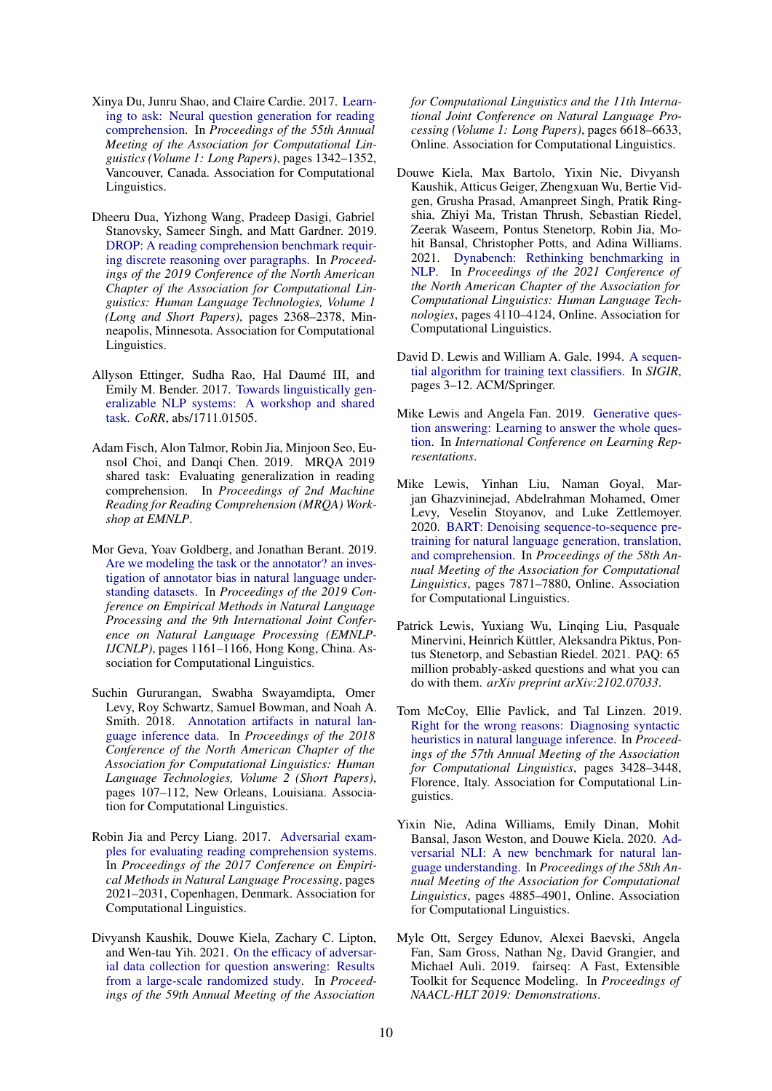- <span id="page-9-8"></span>Xinya Du, Junru Shao, and Claire Cardie. 2017. [Learn](https://doi.org/10.18653/v1/P17-1123)[ing to ask: Neural question generation for reading](https://doi.org/10.18653/v1/P17-1123) [comprehension.](https://doi.org/10.18653/v1/P17-1123) In *Proceedings of the 55th Annual Meeting of the Association for Computational Linguistics (Volume 1: Long Papers)*, pages 1342–1352, Vancouver, Canada. Association for Computational Linguistics.
- <span id="page-9-6"></span>Dheeru Dua, Yizhong Wang, Pradeep Dasigi, Gabriel Stanovsky, Sameer Singh, and Matt Gardner. 2019. [DROP: A reading comprehension benchmark requir](https://doi.org/10.18653/v1/N19-1246)[ing discrete reasoning over paragraphs.](https://doi.org/10.18653/v1/N19-1246) In *Proceedings of the 2019 Conference of the North American Chapter of the Association for Computational Linguistics: Human Language Technologies, Volume 1 (Long and Short Papers)*, pages 2368–2378, Minneapolis, Minnesota. Association for Computational Linguistics.
- <span id="page-9-11"></span>Allyson Ettinger, Sudha Rao, Hal Daumé III, and Emily M. Bender. 2017. [Towards linguistically gen](http://arxiv.org/abs/1711.01505)[eralizable NLP systems: A workshop and shared](http://arxiv.org/abs/1711.01505) [task.](http://arxiv.org/abs/1711.01505) *CoRR*, abs/1711.01505.
- <span id="page-9-15"></span>Adam Fisch, Alon Talmor, Robin Jia, Minjoon Seo, Eunsol Choi, and Danqi Chen. 2019. MRQA 2019 shared task: Evaluating generalization in reading comprehension. In *Proceedings of 2nd Machine Reading for Reading Comprehension (MRQA) Workshop at EMNLP*.
- <span id="page-9-2"></span>Mor Geva, Yoav Goldberg, and Jonathan Berant. 2019. [Are we modeling the task or the annotator? an inves](https://doi.org/10.18653/v1/D19-1107)[tigation of annotator bias in natural language under](https://doi.org/10.18653/v1/D19-1107)[standing datasets.](https://doi.org/10.18653/v1/D19-1107) In *Proceedings of the 2019 Conference on Empirical Methods in Natural Language Processing and the 9th International Joint Conference on Natural Language Processing (EMNLP-IJCNLP)*, pages 1161–1166, Hong Kong, China. Association for Computational Linguistics.
- <span id="page-9-1"></span>Suchin Gururangan, Swabha Swayamdipta, Omer Levy, Roy Schwartz, Samuel Bowman, and Noah A. Smith. 2018. [Annotation artifacts in natural lan](https://doi.org/10.18653/v1/N18-2017)[guage inference data.](https://doi.org/10.18653/v1/N18-2017) In *Proceedings of the 2018 Conference of the North American Chapter of the Association for Computational Linguistics: Human Language Technologies, Volume 2 (Short Papers)*, pages 107–112, New Orleans, Louisiana. Association for Computational Linguistics.
- <span id="page-9-0"></span>Robin Jia and Percy Liang. 2017. [Adversarial exam](https://doi.org/10.18653/v1/D17-1215)[ples for evaluating reading comprehension systems.](https://doi.org/10.18653/v1/D17-1215) In *Proceedings of the 2017 Conference on Empirical Methods in Natural Language Processing*, pages 2021–2031, Copenhagen, Denmark. Association for Computational Linguistics.
- <span id="page-9-7"></span>Divyansh Kaushik, Douwe Kiela, Zachary C. Lipton, and Wen-tau Yih. 2021. [On the efficacy of adversar](https://doi.org/10.18653/v1/2021.acl-long.517)[ial data collection for question answering: Results](https://doi.org/10.18653/v1/2021.acl-long.517) [from a large-scale randomized study.](https://doi.org/10.18653/v1/2021.acl-long.517) In *Proceedings of the 59th Annual Meeting of the Association*

*for Computational Linguistics and the 11th International Joint Conference on Natural Language Processing (Volume 1: Long Papers)*, pages 6618–6633, Online. Association for Computational Linguistics.

- <span id="page-9-4"></span>Douwe Kiela, Max Bartolo, Yixin Nie, Divyansh Kaushik, Atticus Geiger, Zhengxuan Wu, Bertie Vidgen, Grusha Prasad, Amanpreet Singh, Pratik Ringshia, Zhiyi Ma, Tristan Thrush, Sebastian Riedel, Zeerak Waseem, Pontus Stenetorp, Robin Jia, Mohit Bansal, Christopher Potts, and Adina Williams. 2021. [Dynabench: Rethinking benchmarking in](https://doi.org/10.18653/v1/2021.naacl-main.324) [NLP.](https://doi.org/10.18653/v1/2021.naacl-main.324) In *Proceedings of the 2021 Conference of the North American Chapter of the Association for Computational Linguistics: Human Language Technologies*, pages 4110–4124, Online. Association for Computational Linguistics.
- <span id="page-9-12"></span>David D. Lewis and William A. Gale. 1994. [A sequen](http://dblp.uni-trier.de/db/conf/sigir/sigir94.html#LewisG94)[tial algorithm for training text classifiers.](http://dblp.uni-trier.de/db/conf/sigir/sigir94.html#LewisG94) In *SIGIR*, pages 3–12. ACM/Springer.
- <span id="page-9-9"></span>Mike Lewis and Angela Fan. 2019. [Generative ques](https://openreview.net/forum?id=Bkx0RjA9tX)[tion answering: Learning to answer the whole ques](https://openreview.net/forum?id=Bkx0RjA9tX)[tion.](https://openreview.net/forum?id=Bkx0RjA9tX) In *International Conference on Learning Representations*.
- <span id="page-9-14"></span>Mike Lewis, Yinhan Liu, Naman Goyal, Marjan Ghazvininejad, Abdelrahman Mohamed, Omer Levy, Veselin Stoyanov, and Luke Zettlemoyer. 2020. [BART: Denoising sequence-to-sequence pre](https://doi.org/10.18653/v1/2020.acl-main.703)[training for natural language generation, translation,](https://doi.org/10.18653/v1/2020.acl-main.703) [and comprehension.](https://doi.org/10.18653/v1/2020.acl-main.703) In *Proceedings of the 58th Annual Meeting of the Association for Computational Linguistics*, pages 7871–7880, Online. Association for Computational Linguistics.
- <span id="page-9-10"></span>Patrick Lewis, Yuxiang Wu, Linqing Liu, Pasquale Minervini, Heinrich Küttler, Aleksandra Piktus, Pontus Stenetorp, and Sebastian Riedel. 2021. PAQ: 65 million probably-asked questions and what you can do with them. *arXiv preprint arXiv:2102.07033*.
- <span id="page-9-3"></span>Tom McCoy, Ellie Pavlick, and Tal Linzen. 2019. [Right for the wrong reasons: Diagnosing syntactic](https://doi.org/10.18653/v1/P19-1334) [heuristics in natural language inference.](https://doi.org/10.18653/v1/P19-1334) In *Proceedings of the 57th Annual Meeting of the Association for Computational Linguistics*, pages 3428–3448, Florence, Italy. Association for Computational Linguistics.
- <span id="page-9-5"></span>Yixin Nie, Adina Williams, Emily Dinan, Mohit Bansal, Jason Weston, and Douwe Kiela. 2020. [Ad](https://doi.org/10.18653/v1/2020.acl-main.441)[versarial NLI: A new benchmark for natural lan](https://doi.org/10.18653/v1/2020.acl-main.441)[guage understanding.](https://doi.org/10.18653/v1/2020.acl-main.441) In *Proceedings of the 58th Annual Meeting of the Association for Computational Linguistics*, pages 4885–4901, Online. Association for Computational Linguistics.
- <span id="page-9-13"></span>Myle Ott, Sergey Edunov, Alexei Baevski, Angela Fan, Sam Gross, Nathan Ng, David Grangier, and Michael Auli. 2019. fairseq: A Fast, Extensible Toolkit for Sequence Modeling. In *Proceedings of NAACL-HLT 2019: Demonstrations*.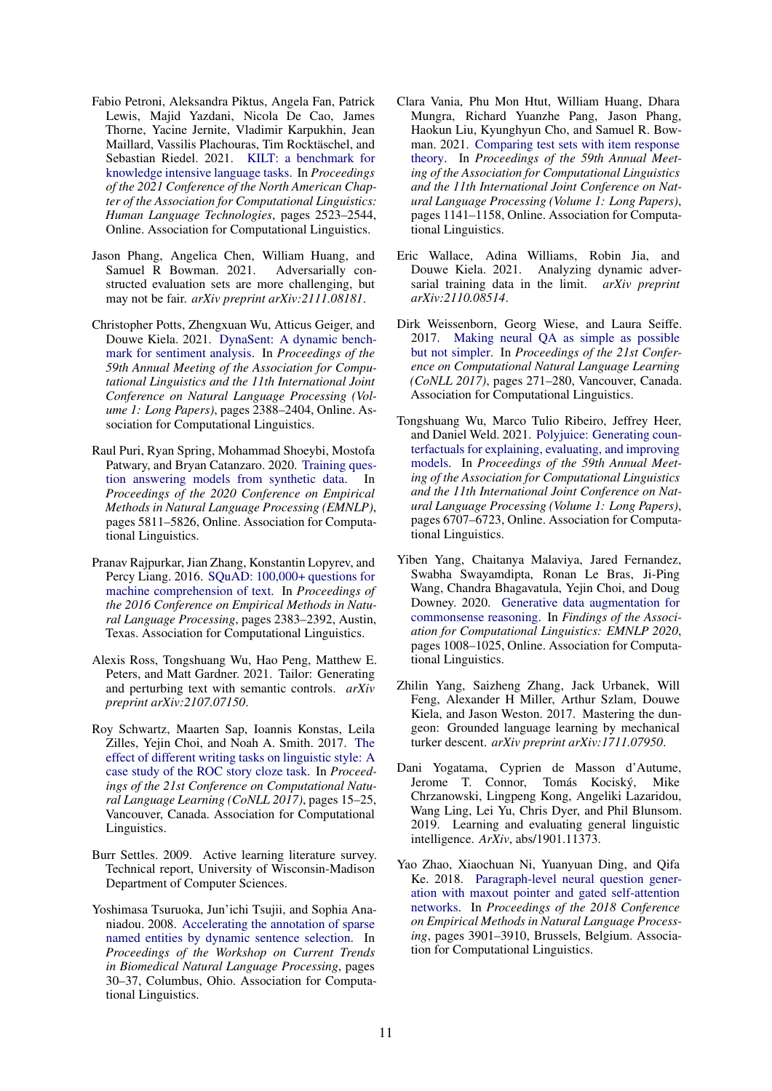- <span id="page-10-15"></span>Fabio Petroni, Aleksandra Piktus, Angela Fan, Patrick Lewis, Majid Yazdani, Nicola De Cao, James Thorne, Yacine Jernite, Vladimir Karpukhin, Jean Maillard, Vassilis Plachouras, Tim Rocktäschel, and Sebastian Riedel. 2021. [KILT: a benchmark for](https://doi.org/10.18653/v1/2021.naacl-main.200) [knowledge intensive language tasks.](https://doi.org/10.18653/v1/2021.naacl-main.200) In *Proceedings of the 2021 Conference of the North American Chapter of the Association for Computational Linguistics: Human Language Technologies*, pages 2523–2544, Online. Association for Computational Linguistics.
- <span id="page-10-5"></span>Jason Phang, Angelica Chen, William Huang, and Samuel R Bowman. 2021. structed evaluation sets are more challenging, but may not be fair. *arXiv preprint arXiv:2111.08181*.
- <span id="page-10-12"></span>Christopher Potts, Zhengxuan Wu, Atticus Geiger, and Douwe Kiela. 2021. [DynaSent: A dynamic bench](https://doi.org/10.18653/v1/2021.acl-long.186)[mark for sentiment analysis.](https://doi.org/10.18653/v1/2021.acl-long.186) In *Proceedings of the 59th Annual Meeting of the Association for Computational Linguistics and the 11th International Joint Conference on Natural Language Processing (Volume 1: Long Papers)*, pages 2388–2404, Online. Association for Computational Linguistics.
- <span id="page-10-7"></span>Raul Puri, Ryan Spring, Mohammad Shoeybi, Mostofa Patwary, and Bryan Catanzaro. 2020. [Training ques](https://doi.org/10.18653/v1/2020.emnlp-main.468)[tion answering models from synthetic data.](https://doi.org/10.18653/v1/2020.emnlp-main.468) In *Proceedings of the 2020 Conference on Empirical Methods in Natural Language Processing (EMNLP)*, pages 5811–5826, Online. Association for Computational Linguistics.
- <span id="page-10-16"></span>Pranav Rajpurkar, Jian Zhang, Konstantin Lopyrev, and Percy Liang. 2016. [SQuAD: 100,000+ questions for](https://doi.org/10.18653/v1/D16-1264) [machine comprehension of text.](https://doi.org/10.18653/v1/D16-1264) In *Proceedings of the 2016 Conference on Empirical Methods in Natural Language Processing*, pages 2383–2392, Austin, Texas. Association for Computational Linguistics.
- <span id="page-10-10"></span>Alexis Ross, Tongshuang Wu, Hao Peng, Matthew E. Peters, and Matt Gardner. 2021. Tailor: Generating and perturbing text with semantic controls. *arXiv preprint arXiv:2107.07150*.
- <span id="page-10-0"></span>Roy Schwartz, Maarten Sap, Ioannis Konstas, Leila Zilles, Yejin Choi, and Noah A. Smith. 2017. [The](https://doi.org/10.18653/v1/K17-1004) [effect of different writing tasks on linguistic style: A](https://doi.org/10.18653/v1/K17-1004) [case study of the ROC story cloze task.](https://doi.org/10.18653/v1/K17-1004) In *Proceedings of the 21st Conference on Computational Natural Language Learning (CoNLL 2017)*, pages 15–25, Vancouver, Canada. Association for Computational Linguistics.
- <span id="page-10-14"></span>Burr Settles. 2009. Active learning literature survey. Technical report, University of Wisconsin-Madison Department of Computer Sciences.
- <span id="page-10-13"></span>Yoshimasa Tsuruoka, Jun'ichi Tsujii, and Sophia Ananiadou. 2008. [Accelerating the annotation of sparse](https://aclanthology.org/W08-0605) [named entities by dynamic sentence selection.](https://aclanthology.org/W08-0605) In *Proceedings of the Workshop on Current Trends in Biomedical Natural Language Processing*, pages 30–37, Columbus, Ohio. Association for Computational Linguistics.
- <span id="page-10-11"></span>Clara Vania, Phu Mon Htut, William Huang, Dhara Mungra, Richard Yuanzhe Pang, Jason Phang, Haokun Liu, Kyunghyun Cho, and Samuel R. Bowman. 2021. [Comparing test sets with item response](https://doi.org/10.18653/v1/2021.acl-long.92) [theory.](https://doi.org/10.18653/v1/2021.acl-long.92) In *Proceedings of the 59th Annual Meeting of the Association for Computational Linguistics and the 11th International Joint Conference on Natural Language Processing (Volume 1: Long Papers)*, pages 1141–1158, Online. Association for Computational Linguistics.
- <span id="page-10-3"></span>Eric Wallace, Adina Williams, Robin Jia, and Douwe Kiela. 2021. Analyzing dynamic adversarial training data in the limit. *arXiv preprint arXiv:2110.08514*.
- <span id="page-10-1"></span>Dirk Weissenborn, Georg Wiese, and Laura Seiffe. 2017. [Making neural QA as simple as possible](https://doi.org/10.18653/v1/K17-1028) [but not simpler.](https://doi.org/10.18653/v1/K17-1028) In *Proceedings of the 21st Conference on Computational Natural Language Learning (CoNLL 2017)*, pages 271–280, Vancouver, Canada. Association for Computational Linguistics.
- <span id="page-10-9"></span>Tongshuang Wu, Marco Tulio Ribeiro, Jeffrey Heer, and Daniel Weld. 2021. [Polyjuice: Generating coun](https://doi.org/10.18653/v1/2021.acl-long.523)[terfactuals for explaining, evaluating, and improving](https://doi.org/10.18653/v1/2021.acl-long.523) [models.](https://doi.org/10.18653/v1/2021.acl-long.523) In *Proceedings of the 59th Annual Meeting of the Association for Computational Linguistics and the 11th International Joint Conference on Natural Language Processing (Volume 1: Long Papers)*, pages 6707–6723, Online. Association for Computational Linguistics.
- <span id="page-10-8"></span>Yiben Yang, Chaitanya Malaviya, Jared Fernandez, Swabha Swayamdipta, Ronan Le Bras, Ji-Ping Wang, Chandra Bhagavatula, Yejin Choi, and Doug Downey. 2020. [Generative data augmentation for](https://doi.org/10.18653/v1/2020.findings-emnlp.90) [commonsense reasoning.](https://doi.org/10.18653/v1/2020.findings-emnlp.90) In *Findings of the Association for Computational Linguistics: EMNLP 2020*, pages 1008–1025, Online. Association for Computational Linguistics.
- <span id="page-10-4"></span>Zhilin Yang, Saizheng Zhang, Jack Urbanek, Will Feng, Alexander H Miller, Arthur Szlam, Douwe Kiela, and Jason Weston. 2017. Mastering the dungeon: Grounded language learning by mechanical turker descent. *arXiv preprint arXiv:1711.07950*.
- <span id="page-10-2"></span>Dani Yogatama, Cyprien de Masson d'Autume, Tomás Kociský, Mike Chrzanowski, Lingpeng Kong, Angeliki Lazaridou, Wang Ling, Lei Yu, Chris Dyer, and Phil Blunsom. 2019. Learning and evaluating general linguistic intelligence. *ArXiv*, abs/1901.11373.
- <span id="page-10-6"></span>Yao Zhao, Xiaochuan Ni, Yuanyuan Ding, and Qifa Ke. 2018. [Paragraph-level neural question gener](https://doi.org/10.18653/v1/D18-1424)[ation with maxout pointer and gated self-attention](https://doi.org/10.18653/v1/D18-1424) [networks.](https://doi.org/10.18653/v1/D18-1424) In *Proceedings of the 2018 Conference on Empirical Methods in Natural Language Processing*, pages 3901–3910, Brussels, Belgium. Association for Computational Linguistics.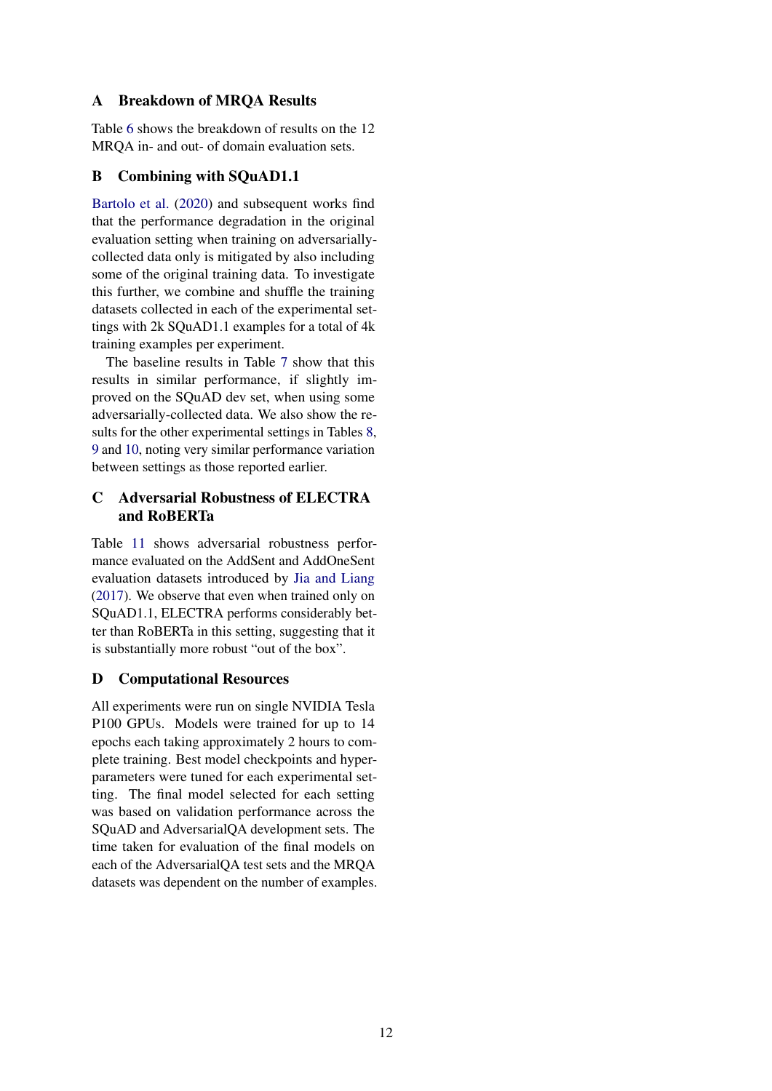# A Breakdown of MRQA Results

Table [6](#page-12-0) shows the breakdown of results on the 12 MRQA in- and out- of domain evaluation sets.

# <span id="page-11-0"></span>B Combining with SQuAD1.1

[Bartolo et al.](#page-8-1) [\(2020\)](#page-8-1) and subsequent works find that the performance degradation in the original evaluation setting when training on adversariallycollected data only is mitigated by also including some of the original training data. To investigate this further, we combine and shuffle the training datasets collected in each of the experimental settings with 2k SQuAD1.1 examples for a total of 4k training examples per experiment.

The baseline results in Table [7](#page-12-1) show that this results in similar performance, if slightly improved on the SQuAD dev set, when using some adversarially-collected data. We also show the results for the other experimental settings in Tables [8,](#page-12-2) [9](#page-13-0) and [10,](#page-13-1) noting very similar performance variation between settings as those reported earlier.

# <span id="page-11-1"></span>C Adversarial Robustness of ELECTRA and RoBERTa

Table [11](#page-13-2) shows adversarial robustness performance evaluated on the AddSent and AddOneSent evaluation datasets introduced by [Jia and Liang](#page-9-0) [\(2017\)](#page-9-0). We observe that even when trained only on SQuAD1.1, ELECTRA performs considerably better than RoBERTa in this setting, suggesting that it is substantially more robust "out of the box".

# D Computational Resources

All experiments were run on single NVIDIA Tesla P100 GPUs. Models were trained for up to 14 epochs each taking approximately 2 hours to complete training. Best model checkpoints and hyperparameters were tuned for each experimental setting. The final model selected for each setting was based on validation performance across the SQuAD and AdversarialQA development sets. The time taken for evaluation of the final models on each of the AdversarialQA test sets and the MRQA datasets was dependent on the number of examples.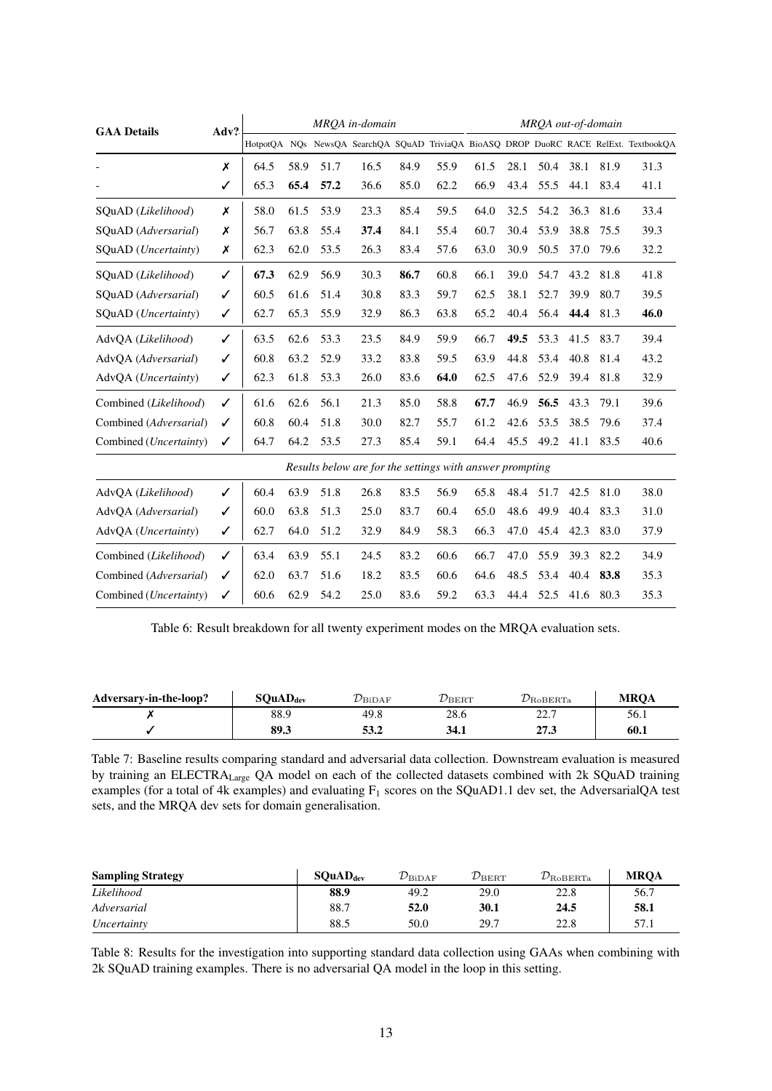<span id="page-12-0"></span>

| <b>GAA Details</b>              | Adv? |      |      |      | MROA in-domain                                           |      |      | MROA out-of-domain |      |      |      |      |                                                                                       |
|---------------------------------|------|------|------|------|----------------------------------------------------------|------|------|--------------------|------|------|------|------|---------------------------------------------------------------------------------------|
|                                 |      |      |      |      |                                                          |      |      |                    |      |      |      |      | HotpotOA NOs NewsOA SearchOA SOuAD TriviaOA BioASO DROP DuoRC RACE RelExt. TextbookOA |
|                                 | X    | 64.5 | 58.9 | 51.7 | 16.5                                                     | 84.9 | 55.9 | 61.5               | 28.1 | 50.4 | 38.1 | 81.9 | 31.3                                                                                  |
|                                 | ✓    | 65.3 | 65.4 | 57.2 | 36.6                                                     | 85.0 | 62.2 | 66.9               | 43.4 | 55.5 | 44.1 | 83.4 | 41.1                                                                                  |
| SQuAD (Likelihood)              | X    | 58.0 | 61.5 | 53.9 | 23.3                                                     | 85.4 | 59.5 | 64.0               | 32.5 | 54.2 | 36.3 | 81.6 | 33.4                                                                                  |
| SOuAD (Adversarial)             | X    | 56.7 | 63.8 | 55.4 | 37.4                                                     | 84.1 | 55.4 | 60.7               | 30.4 | 53.9 | 38.8 | 75.5 | 39.3                                                                                  |
| SQuAD ( <i>Uncertainty</i> )    | X    | 62.3 | 62.0 | 53.5 | 26.3                                                     | 83.4 | 57.6 | 63.0               | 30.9 | 50.5 | 37.0 | 79.6 | 32.2                                                                                  |
| SQuAD (Likelihood)              | ✓    | 67.3 | 62.9 | 56.9 | 30.3                                                     | 86.7 | 60.8 | 66.1               | 39.0 | 54.7 | 43.2 | 81.8 | 41.8                                                                                  |
| SOuAD (Adversarial)             | ✓    | 60.5 | 61.6 | 51.4 | 30.8                                                     | 83.3 | 59.7 | 62.5               | 38.1 | 52.7 | 39.9 | 80.7 | 39.5                                                                                  |
| SQuAD ( <i>Uncertainty</i> )    | ✓    | 62.7 | 65.3 | 55.9 | 32.9                                                     | 86.3 | 63.8 | 65.2               | 40.4 | 56.4 | 44.4 | 81.3 | 46.0                                                                                  |
| AdvQA (Likelihood)              | ✓    | 63.5 | 62.6 | 53.3 | 23.5                                                     | 84.9 | 59.9 | 66.7               | 49.5 | 53.3 | 41.5 | 83.7 | 39.4                                                                                  |
| AdvOA (Adversarial)             | ✓    | 60.8 | 63.2 | 52.9 | 33.2                                                     | 83.8 | 59.5 | 63.9               | 44.8 | 53.4 | 40.8 | 81.4 | 43.2                                                                                  |
| AdvQA ( <i>Uncertainty</i> )    | ✓    | 62.3 | 61.8 | 53.3 | 26.0                                                     | 83.6 | 64.0 | 62.5               | 47.6 | 52.9 | 39.4 | 81.8 | 32.9                                                                                  |
| Combined (Likelihood)           | ✓    | 61.6 | 62.6 | 56.1 | 21.3                                                     | 85.0 | 58.8 | 67.7               | 46.9 | 56.5 | 43.3 | 79.1 | 39.6                                                                                  |
| Combined (Adversarial)          | ✓    | 60.8 | 60.4 | 51.8 | 30.0                                                     | 82.7 | 55.7 | 61.2               | 42.6 | 53.5 | 38.5 | 79.6 | 37.4                                                                                  |
| Combined ( <i>Uncertainty</i> ) | ✓    | 64.7 | 64.2 | 53.5 | 27.3                                                     | 85.4 | 59.1 | 64.4               | 45.5 | 49.2 | 41.1 | 83.5 | 40.6                                                                                  |
|                                 |      |      |      |      | Results below are for the settings with answer prompting |      |      |                    |      |      |      |      |                                                                                       |
| AdvQA (Likelihood)              | ✓    | 60.4 | 63.9 | 51.8 | 26.8                                                     | 83.5 | 56.9 | 65.8               | 48.4 | 51.7 | 42.5 | 81.0 | 38.0                                                                                  |
| AdvQA (Adversarial)             | ✓    | 60.0 | 63.8 | 51.3 | 25.0                                                     | 83.7 | 60.4 | 65.0               | 48.6 | 49.9 | 40.4 | 83.3 | 31.0                                                                                  |
| AdvQA ( <i>Uncertainty</i> )    | ✓    | 62.7 | 64.0 | 51.2 | 32.9                                                     | 84.9 | 58.3 | 66.3               | 47.0 | 45.4 | 42.3 | 83.0 | 37.9                                                                                  |
| Combined (Likelihood)           | ✓    | 63.4 | 63.9 | 55.1 | 24.5                                                     | 83.2 | 60.6 | 66.7               | 47.0 | 55.9 | 39.3 | 82.2 | 34.9                                                                                  |
| Combined (Adversarial)          | ✓    | 62.0 | 63.7 | 51.6 | 18.2                                                     | 83.5 | 60.6 | 64.6               | 48.5 | 53.4 | 40.4 | 83.8 | 35.3                                                                                  |
| Combined ( <i>Uncertainty</i> ) | ✓    | 60.6 | 62.9 | 54.2 | 25.0                                                     | 83.6 | 59.2 | 63.3               | 44.4 | 52.5 | 41.6 | 80.3 | 35.3                                                                                  |

Table 6: Result breakdown for all twenty experiment modes on the MRQA evaluation sets.

<span id="page-12-1"></span>

| Adversary-in-the-loop? | SQuAD <sub>dev</sub> | $\nu_{\rm{BiDAF}}$ | $\nu_{\rm BERT}$ | $\nu_{\textrm{RoBERTa}}$ | <b>MROA</b> |
|------------------------|----------------------|--------------------|------------------|--------------------------|-------------|
|                        | 88.9                 | 49.8               | 28.6             | າາ ໆ<br>،                | 56.1        |
|                        | 89.3                 | 53.2               | 34.1             | 27.3                     | 60.1        |

Table 7: Baseline results comparing standard and adversarial data collection. Downstream evaluation is measured by training an ELECTRALarge QA model on each of the collected datasets combined with 2k SQuAD training examples (for a total of 4k examples) and evaluating  $F_1$  scores on the SQuAD1.1 dev set, the AdversarialQA test sets, and the MRQA dev sets for domain generalisation.

<span id="page-12-2"></span>

| <b>Sampling Strategy</b> | SQuAD <sub>dev</sub> | $\mathcal{D}_{\rm BiDAF}$ | $\mathcal{D}_{\rm BERT}$ | $\mathcal{D}_{\rm RoBERTa}$ | <b>MROA</b> |
|--------------------------|----------------------|---------------------------|--------------------------|-----------------------------|-------------|
| Likelihood               | 88.9                 | 49.2                      | 29.0                     | 22.8                        | 56.7        |
| Adversarial              | 88.7                 | 52.0                      | 30.1                     | 24.5                        | 58.1        |
| Uncertainty              | 88.5                 | 50.0                      | 29.7                     | 22.8                        | 57.1        |

Table 8: Results for the investigation into supporting standard data collection using GAAs when combining with 2k SQuAD training examples. There is no adversarial QA model in the loop in this setting.